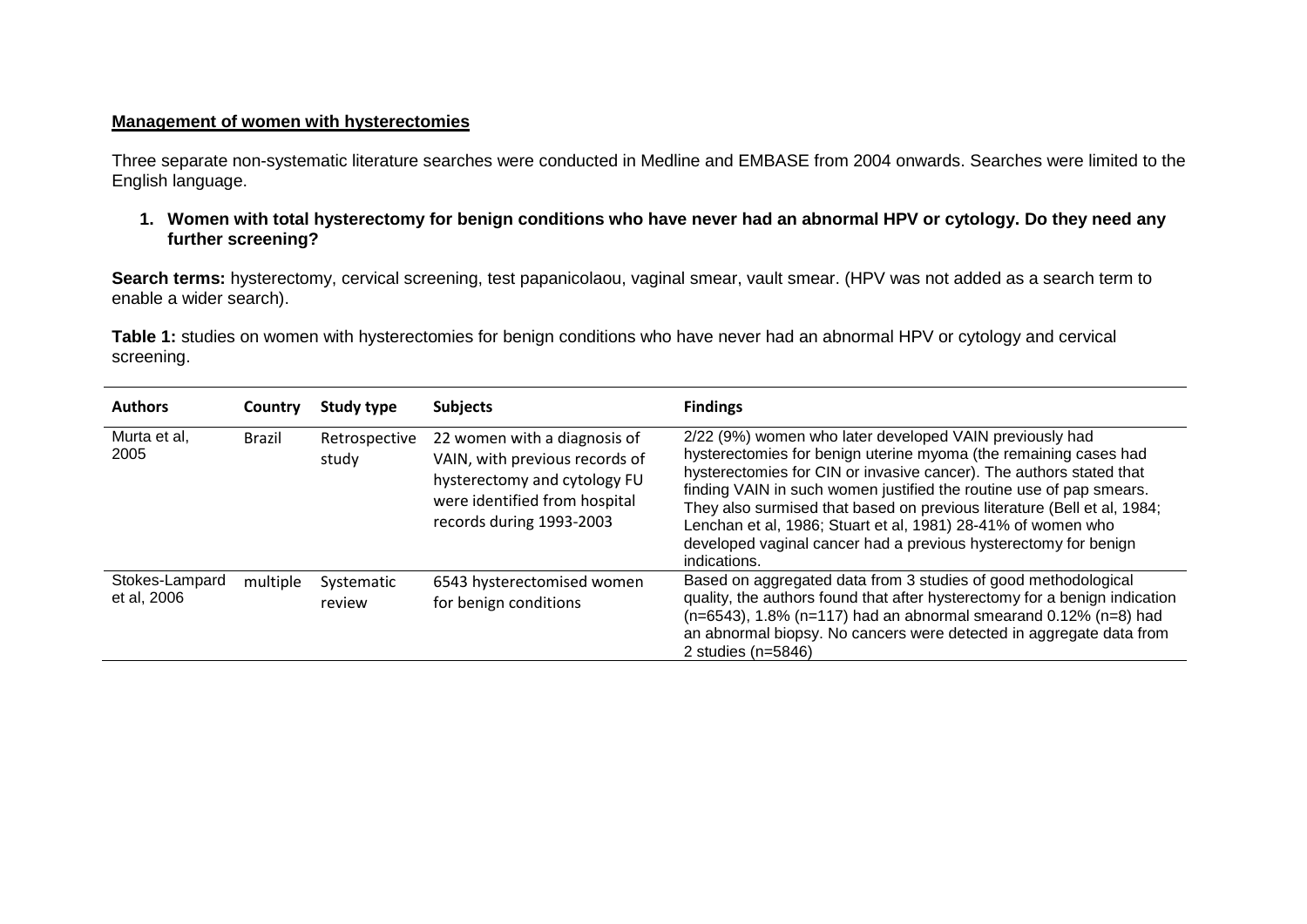## **Management of women with hysterectomies**

Three separate non-systematic literature searches were conducted in Medline and EMBASE from 2004 onwards. Searches were limited to the English language.

**1. Women with total hysterectomy for benign conditions who have never had an abnormal HPV or cytology. Do they need any further screening?** 

**Search terms:** hysterectomy, cervical screening, test papanicolaou, vaginal smear, vault smear. (HPV was not added as a search term to enable a wider search).

**Table 1:** studies on women with hysterectomies for benign conditions who have never had an abnormal HPV or cytology and cervical screening.

| <b>Authors</b>                | Country       | Study type             | <b>Subjects</b>                                                                                                                                             | <b>Findings</b>                                                                                                                                                                                                                                                                                                                                                                                                                                                                                         |
|-------------------------------|---------------|------------------------|-------------------------------------------------------------------------------------------------------------------------------------------------------------|---------------------------------------------------------------------------------------------------------------------------------------------------------------------------------------------------------------------------------------------------------------------------------------------------------------------------------------------------------------------------------------------------------------------------------------------------------------------------------------------------------|
| Murta et al,<br>2005          | <b>Brazil</b> | Retrospective<br>study | 22 women with a diagnosis of<br>VAIN, with previous records of<br>hysterectomy and cytology FU<br>were identified from hospital<br>records during 1993-2003 | 2/22 (9%) women who later developed VAIN previously had<br>hysterectomies for benign uterine myoma (the remaining cases had<br>hysterectomies for CIN or invasive cancer). The authors stated that<br>finding VAIN in such women justified the routine use of pap smears.<br>They also surmised that based on previous literature (Bell et al, 1984;<br>Lenchan et al, 1986; Stuart et al, 1981) 28-41% of women who<br>developed vaginal cancer had a previous hysterectomy for benign<br>indications. |
| Stokes-Lampard<br>et al, 2006 | multiple      | Systematic<br>review   | 6543 hysterectomised women<br>for benign conditions                                                                                                         | Based on aggregated data from 3 studies of good methodological<br>quality, the authors found that after hysterectomy for a benign indication<br>$(n=6543)$ , 1.8% (n=117) had an abnormal smearand 0.12% (n=8) had<br>an abnormal biopsy. No cancers were detected in aggregate data from<br>2 studies $(n=5846)$                                                                                                                                                                                       |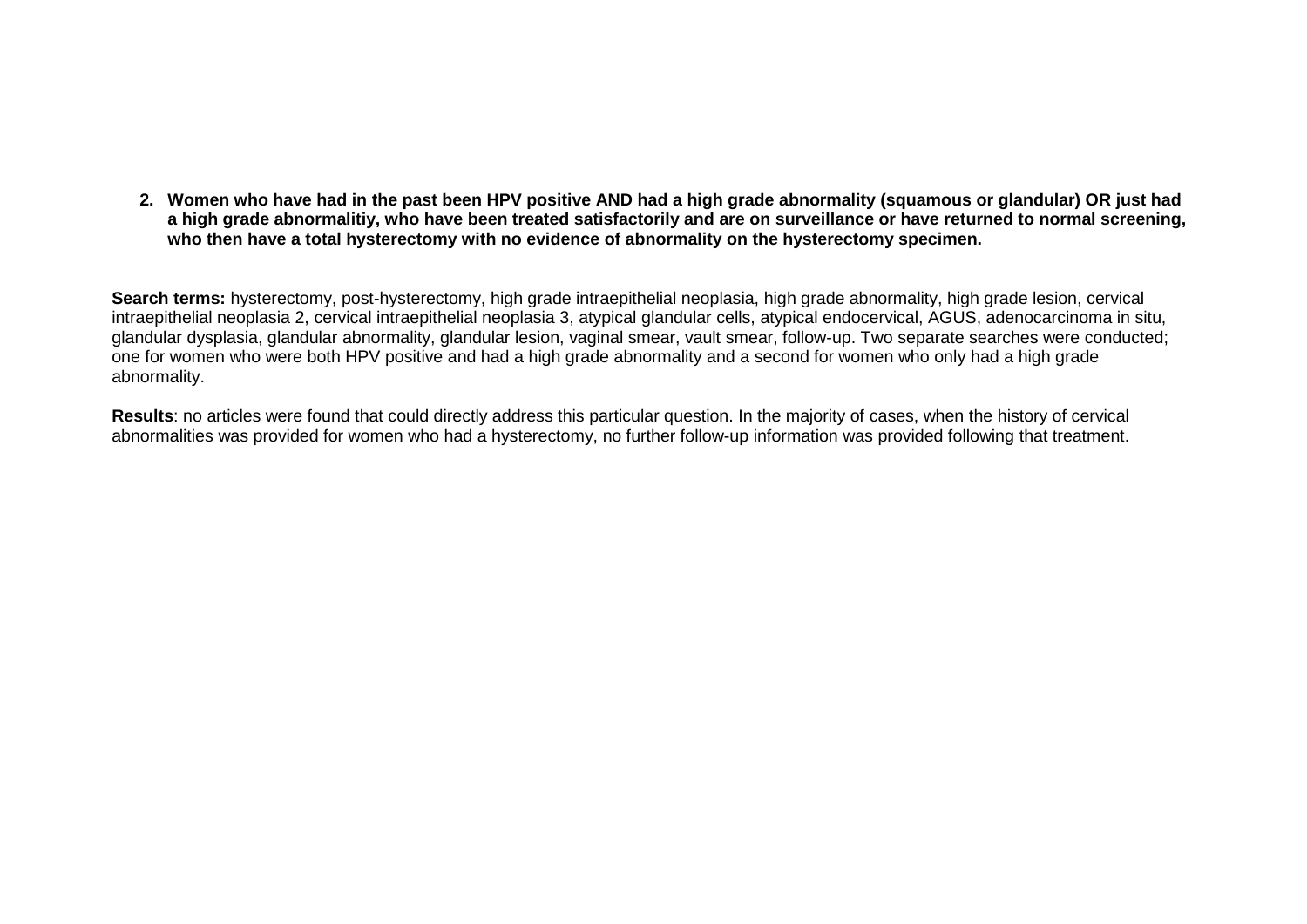**2. Women who have had in the past been HPV positive AND had a high grade abnormality (squamous or glandular) OR just had a high grade abnormalitiy, who have been treated satisfactorily and are on surveillance or have returned to normal screening, who then have a total hysterectomy with no evidence of abnormality on the hysterectomy specimen.** 

**Search terms:** hysterectomy, post-hysterectomy, high grade intraepithelial neoplasia, high grade abnormality, high grade lesion, cervical intraepithelial neoplasia 2, cervical intraepithelial neoplasia 3, atypical glandular cells, atypical endocervical, AGUS, adenocarcinoma in situ, glandular dysplasia, glandular abnormality, glandular lesion, vaginal smear, vault smear, follow-up. Two separate searches were conducted; one for women who were both HPV positive and had a high grade abnormality and a second for women who only had a high grade abnormality.

**Results**: no articles were found that could directly address this particular question. In the majority of cases, when the history of cervical abnormalities was provided for women who had a hysterectomy, no further follow-up information was provided following that treatment.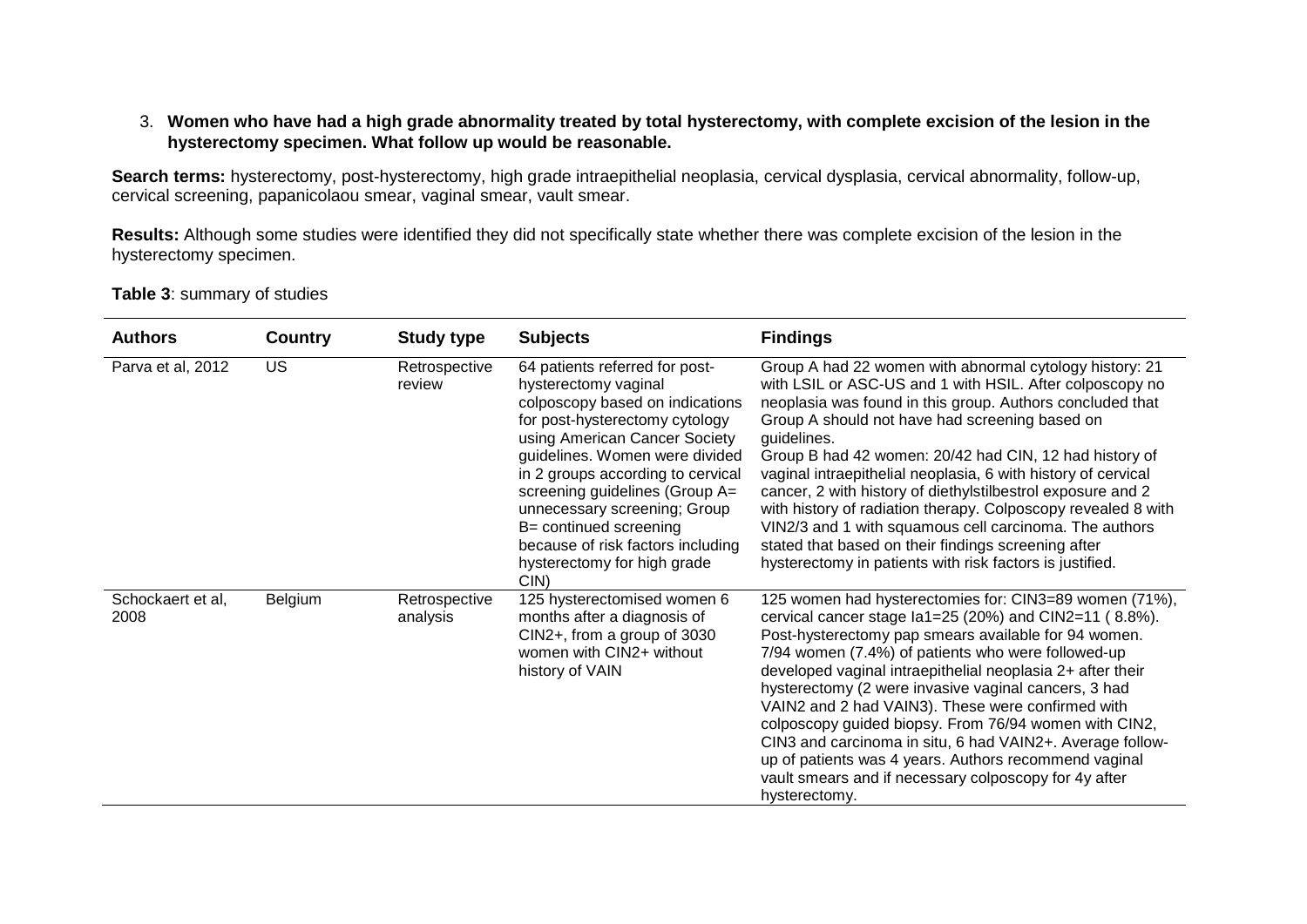## 3. **Women who have had a high grade abnormality treated by total hysterectomy, with complete excision of the lesion in the hysterectomy specimen. What follow up would be reasonable.**

Search terms: hysterectomy, post-hysterectomy, high grade intraepithelial neoplasia, cervical dysplasia, cervical abnormality, follow-up, cervical screening, papanicolaou smear, vaginal smear, vault smear.

**Results:** Although some studies were identified they did not specifically state whether there was complete excision of the lesion in the hysterectomy specimen.

**Table 3**: summary of studies

| <b>Authors</b>            | Country   | <b>Study type</b>         | <b>Subjects</b>                                                                                                                                                                                                                                                                                                                                                                                                | <b>Findings</b>                                                                                                                                                                                                                                                                                                                                                                                                                                                                                                                                                                                                                                                                           |
|---------------------------|-----------|---------------------------|----------------------------------------------------------------------------------------------------------------------------------------------------------------------------------------------------------------------------------------------------------------------------------------------------------------------------------------------------------------------------------------------------------------|-------------------------------------------------------------------------------------------------------------------------------------------------------------------------------------------------------------------------------------------------------------------------------------------------------------------------------------------------------------------------------------------------------------------------------------------------------------------------------------------------------------------------------------------------------------------------------------------------------------------------------------------------------------------------------------------|
| Parva et al, 2012         | <b>US</b> | Retrospective<br>review   | 64 patients referred for post-<br>hysterectomy vaginal<br>colposcopy based on indications<br>for post-hysterectomy cytology<br>using American Cancer Society<br>guidelines. Women were divided<br>in 2 groups according to cervical<br>screening guidelines (Group A=<br>unnecessary screening; Group<br>B= continued screening<br>because of risk factors including<br>hysterectomy for high grade<br>$CIN$ ) | Group A had 22 women with abnormal cytology history: 21<br>with LSIL or ASC-US and 1 with HSIL. After colposcopy no<br>neoplasia was found in this group. Authors concluded that<br>Group A should not have had screening based on<br>guidelines.<br>Group B had 42 women: 20/42 had CIN, 12 had history of<br>vaginal intraepithelial neoplasia, 6 with history of cervical<br>cancer, 2 with history of diethylstilbestrol exposure and 2<br>with history of radiation therapy. Colposcopy revealed 8 with<br>VIN2/3 and 1 with squamous cell carcinoma. The authors<br>stated that based on their findings screening after<br>hysterectomy in patients with risk factors is justified. |
| Schockaert et al,<br>2008 | Belgium   | Retrospective<br>analysis | 125 hysterectomised women 6<br>months after a diagnosis of<br>CIN2+, from a group of 3030<br>women with CIN2+ without<br>history of VAIN                                                                                                                                                                                                                                                                       | 125 women had hysterectomies for: CIN3=89 women (71%),<br>cervical cancer stage $\text{Ia1} = 25 \text{ (20%)}$ and CIN2=11 (8.8%).<br>Post-hysterectomy pap smears available for 94 women.<br>7/94 women (7.4%) of patients who were followed-up<br>developed vaginal intraepithelial neoplasia 2+ after their<br>hysterectomy (2 were invasive vaginal cancers, 3 had<br>VAIN2 and 2 had VAIN3). These were confirmed with<br>colposcopy guided biopsy. From 76/94 women with CIN2,<br>CIN3 and carcinoma in situ, 6 had VAIN2+. Average follow-<br>up of patients was 4 years. Authors recommend vaginal<br>vault smears and if necessary colposcopy for 4y after<br>hysterectomy.     |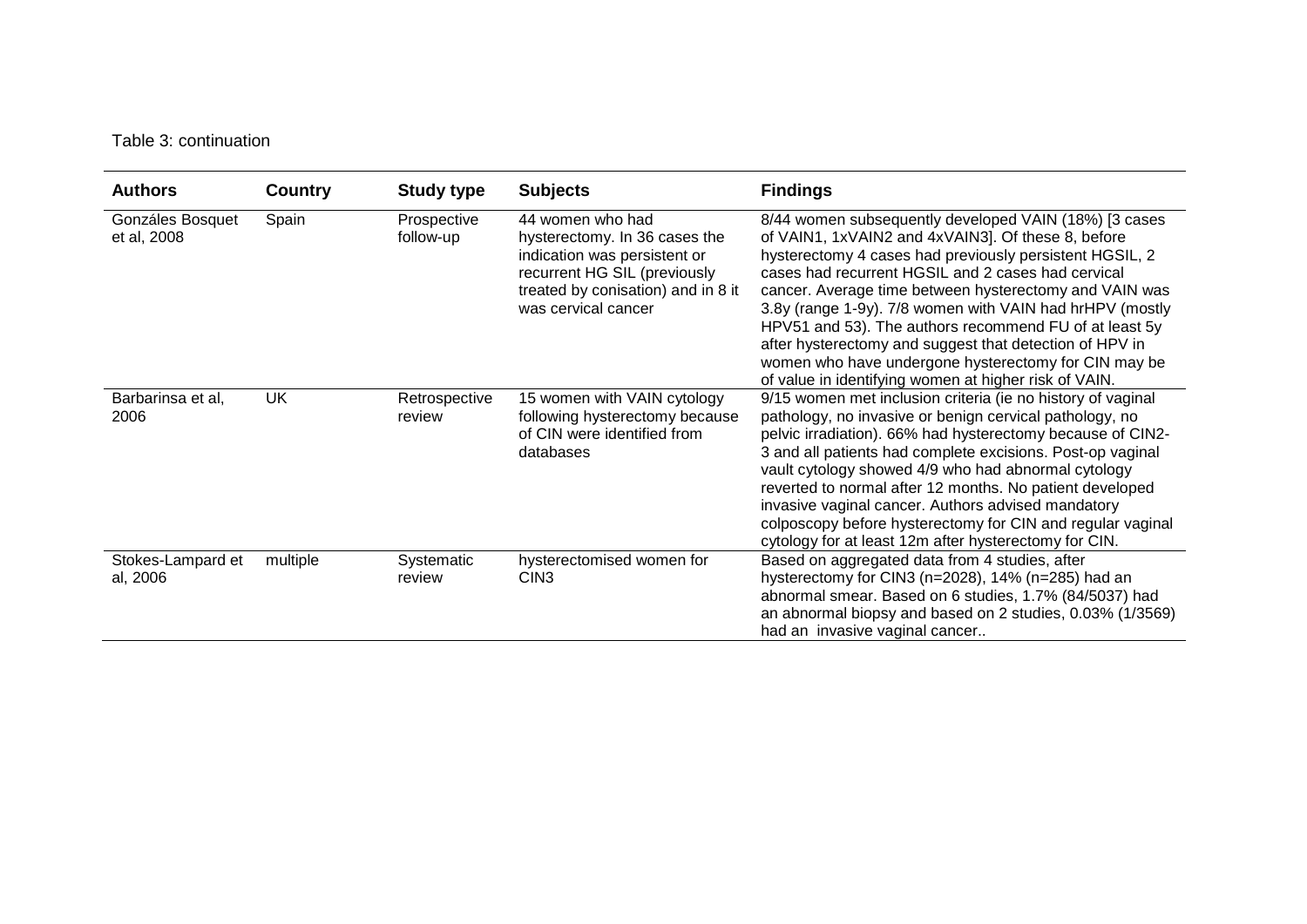## Table 3: continuation

| <b>Authors</b>                  | Country   | <b>Study type</b>        | <b>Subjects</b>                                                                                                                                                                | <b>Findings</b>                                                                                                                                                                                                                                                                                                                                                                                                                                                                                                                                                                          |
|---------------------------------|-----------|--------------------------|--------------------------------------------------------------------------------------------------------------------------------------------------------------------------------|------------------------------------------------------------------------------------------------------------------------------------------------------------------------------------------------------------------------------------------------------------------------------------------------------------------------------------------------------------------------------------------------------------------------------------------------------------------------------------------------------------------------------------------------------------------------------------------|
| Gonzáles Bosquet<br>et al, 2008 | Spain     | Prospective<br>follow-up | 44 women who had<br>hysterectomy. In 36 cases the<br>indication was persistent or<br>recurrent HG SIL (previously<br>treated by conisation) and in 8 it<br>was cervical cancer | 8/44 women subsequently developed VAIN (18%) [3 cases<br>of VAIN1, 1xVAIN2 and 4xVAIN3]. Of these 8, before<br>hysterectomy 4 cases had previously persistent HGSIL, 2<br>cases had recurrent HGSIL and 2 cases had cervical<br>cancer. Average time between hysterectomy and VAIN was<br>3.8y (range 1-9y). 7/8 women with VAIN had hrHPV (mostly<br>HPV51 and 53). The authors recommend FU of at least 5y<br>after hysterectomy and suggest that detection of HPV in<br>women who have undergone hysterectomy for CIN may be<br>of value in identifying women at higher risk of VAIN. |
| Barbarinsa et al,<br>2006       | <b>UK</b> | Retrospective<br>review  | 15 women with VAIN cytology<br>following hysterectomy because<br>of CIN were identified from<br>databases                                                                      | 9/15 women met inclusion criteria (ie no history of vaginal<br>pathology, no invasive or benign cervical pathology, no<br>pelvic irradiation). 66% had hysterectomy because of CIN2-<br>3 and all patients had complete excisions. Post-op vaginal<br>vault cytology showed 4/9 who had abnormal cytology<br>reverted to normal after 12 months. No patient developed<br>invasive vaginal cancer. Authors advised mandatory<br>colposcopy before hysterectomy for CIN and regular vaginal<br>cytology for at least 12m after hysterectomy for CIN.                                       |
| Stokes-Lampard et<br>al, 2006   | multiple  | Systematic<br>review     | hysterectomised women for<br>CIN <sub>3</sub>                                                                                                                                  | Based on aggregated data from 4 studies, after<br>hysterectomy for CIN3 (n=2028), 14% (n=285) had an<br>abnormal smear. Based on 6 studies, 1.7% (84/5037) had<br>an abnormal biopsy and based on 2 studies, 0.03% (1/3569)<br>had an invasive vaginal cancer                                                                                                                                                                                                                                                                                                                            |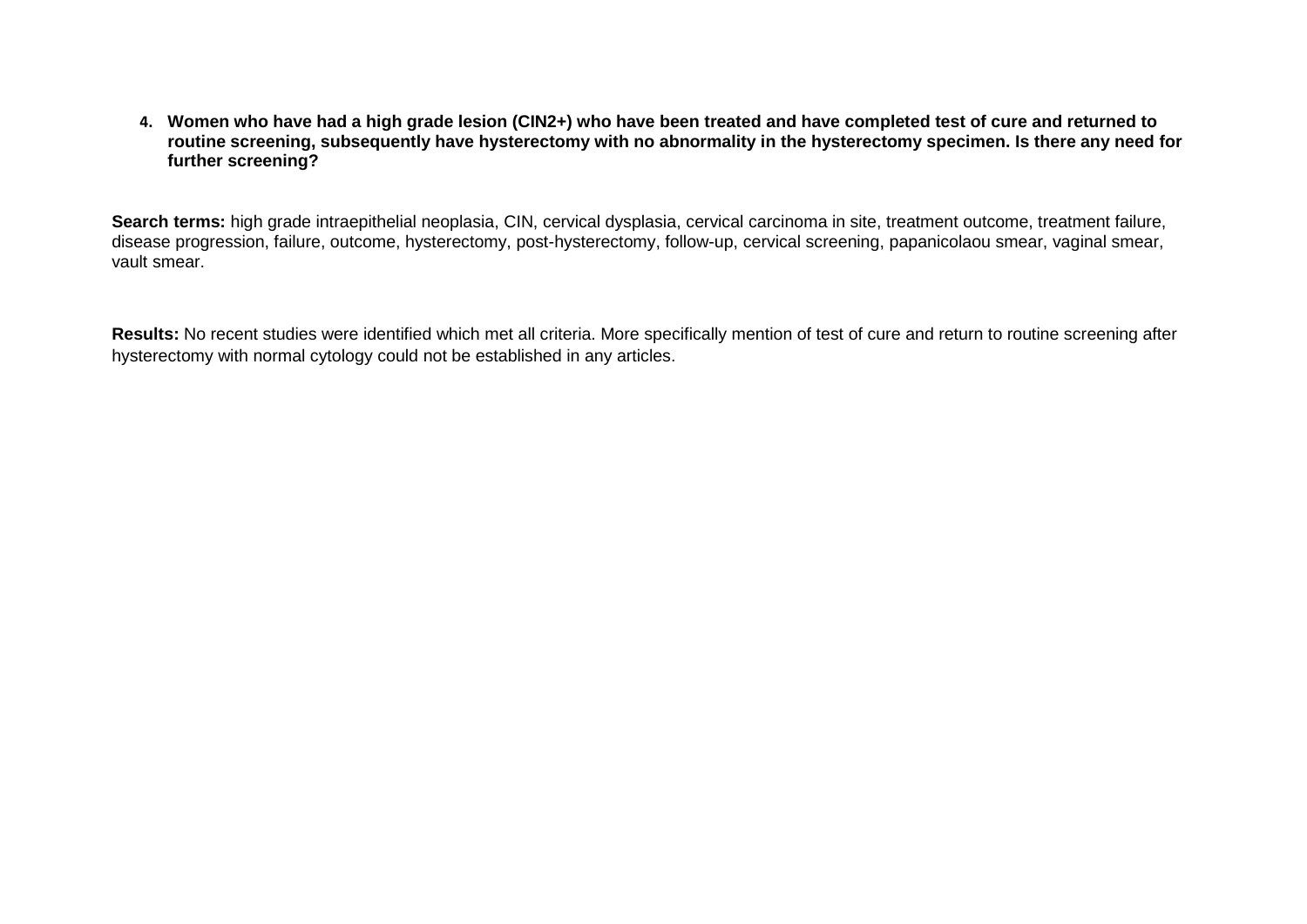**4. Women who have had a high grade lesion (CIN2+) who have been treated and have completed test of cure and returned to routine screening, subsequently have hysterectomy with no abnormality in the hysterectomy specimen. Is there any need for further screening?**

**Search terms:** high grade intraepithelial neoplasia, CIN, cervical dysplasia, cervical carcinoma in site, treatment outcome, treatment failure, disease progression, failure, outcome, hysterectomy, post-hysterectomy, follow-up, cervical screening, papanicolaou smear, vaginal smear, vault smear.

**Results:** No recent studies were identified which met all criteria. More specifically mention of test of cure and return to routine screening after hysterectomy with normal cytology could not be established in any articles.